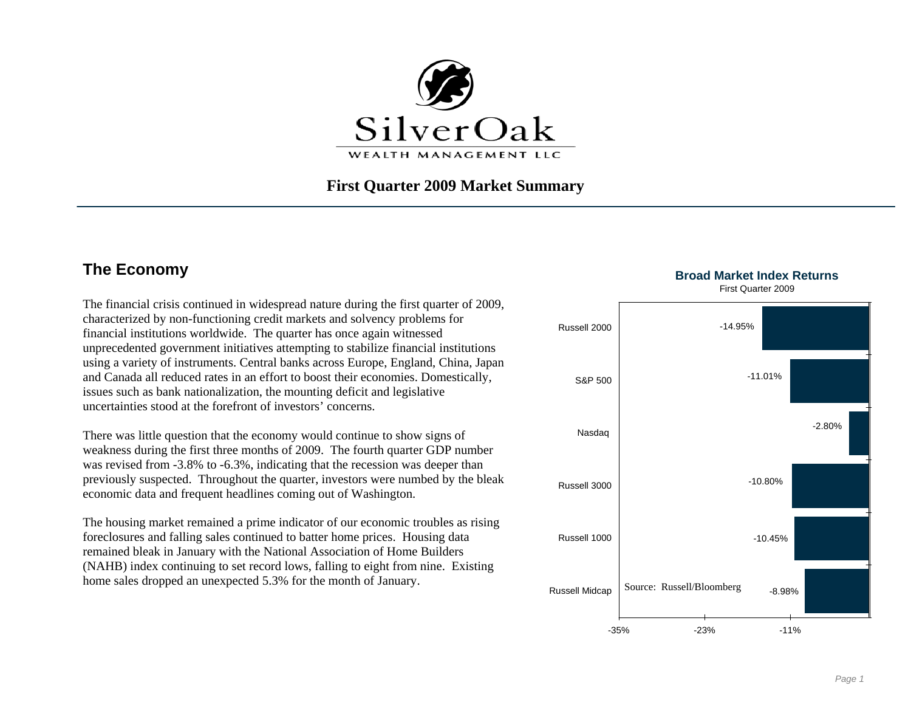

### **First Quarter 2009 Market Summary**

# **The Economy Broad Market Index Returns**

The financial crisis continued in widespread nature during the first quarter of 2009, characterized by non-functioning credit markets and solvency problems for financial institutions worldwide. The quarter has once again witnessed unprecedented government initiatives attempting to stabilize financial institutions using a variety of instruments. Central banks across Europe, England, China, Japan and Canada all reduced rates in an effort to boost their economies. Domestically, issues such as bank nationalization, the mounting deficit and legislative uncertainties stood at the forefront of investors' concerns.

There was little question that the economy would continue to show signs of weakness during the first three months of 2009. The fourth quarter GDP number was revised from -3.8% to -6.3%, indicating that the recession was deeper than previously suspected. Throughout the quarter, investors were numbed by the bleak economic data and frequent headlines coming out of Washington.

The housing market remained a prime indicator of our economic troubles as rising foreclosures and falling sales continued to batter home prices. Housing data remained bleak in January with the National Association of Home Builders (NAHB) index continuing to set record lows, falling to eight from nine. Existing home sales dropped an unexpected 5.3% for the month of January.



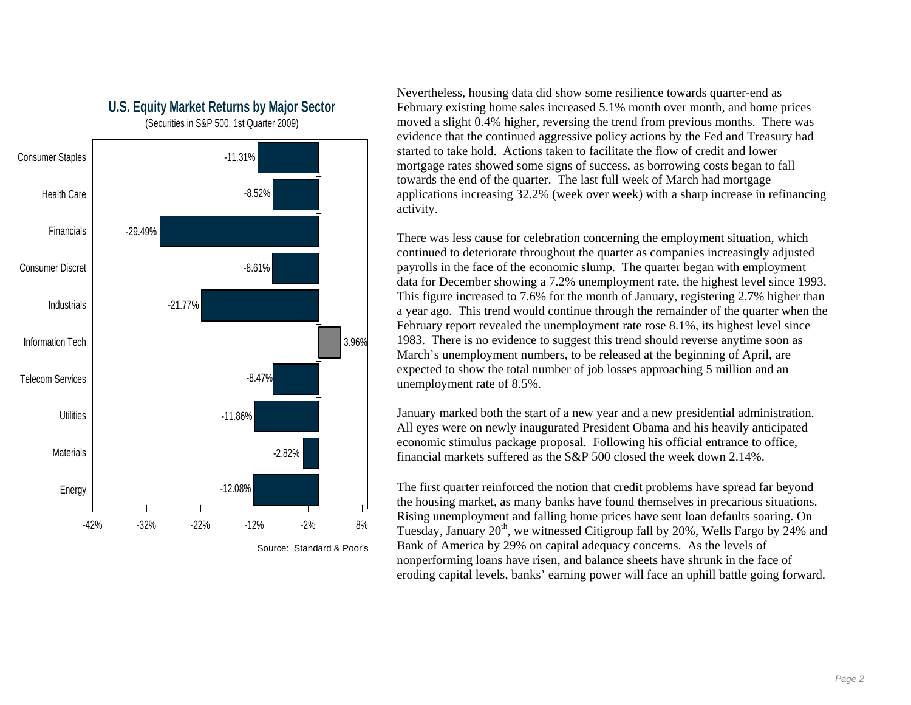

**U.S. Equity Market Returns by Major Sector**  (Securities in S&P 500, 1st Quarter 2009)

applications increasing 32.2% (week over week) with a sharp increase in refinancing Nevertheless, housing data did show some resilience towards quarter-end as February existing home sales increased 5.1% month over month, and home prices moved a slight 0.4% higher, reversing the trend from previous months. There was evidence that the continued aggressive policy actions by the Fed and Treasury had started to take hold. Actions taken to facilitate the flow of credit and lower mortgage rates showed some signs of success, as borrowing costs began to fall towards the end of the quarter. The last full week of March had mortgage activity.

a year ago. This trend would continue through the remainder of the quarter when the There was less cause for celebration concerning the employment situation, which continued to deteriorate throughout the quarter as companies increasingly adjusted payrolls in the face of the economic slump. The quarter began with employment data for December showing a 7.2% unemployment rate, the highest level since 1993. This figure increased to 7.6% for the month of January, registering 2.7% higher than February report revealed the unemployment rate rose 8.1%, its highest level since 1983. There is no evidence to suggest this trend should reverse anytime soon as March's unemployment numbers, to be released at the beginning of April, are expected to show the total number of job losses approaching 5 million and an unemployment rate of 8.5%.

January marked both the start of a new year and a new presidential administration. All eyes were on newly inaugurated President Obama and his heavily anticipated economic stimulus package proposal. Following his official entrance to office, financial markets suffered as the S&P 500 closed the week down 2.14%.

The first quarter reinforced the notion that credit problems have spread far beyond the housing market, as many banks have found themselves in precarious situations. Rising unemployment and falling home prices have sent loan defaults soaring. On Tuesday, January  $20<sup>th</sup>$ , we witnessed Citigroup fall by  $20\%$ , Wells Fargo by  $24\%$  and Bank of America by 29% on capital adequacy concerns. As the levels of nonperforming loans have risen, and balance sheets have shrunk in the face of eroding capital levels, banks' earning power will face an uphill battle going forward.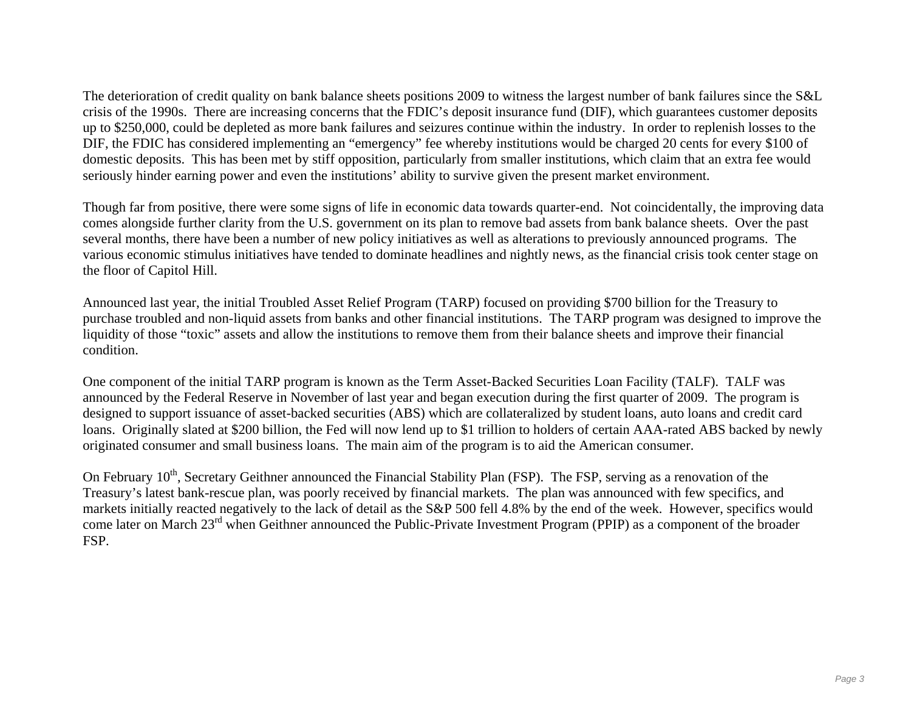The deterioration of credit quality on bank balance sheets positions 2009 to witness the largest number of bank failures since the S&L crisis of the 1990s. There are increasing concerns that the FDIC's deposit insurance fund (DIF), which guarantees customer deposits up to \$250,000, could be depleted as more bank failures and seizures continue within the industry. In order to replenish losses to the DIF, the FDIC has considered implementing an "emergency" fee whereby institutions would be charged 20 cents for every \$100 of domestic deposits. This has been met by stiff opposition, particularly from smaller institutions, which claim that an extra fee would seriously hinder earning power and even the institutions' ability to survive given the present market environment.

Though far from positive, there were some signs of life in economic data towards quarter-end. Not coincidentally, the improving data comes alongside further clarity from the U.S. government on its plan to remove bad assets from bank balance sheets. Over the past several months, there have been a number of new policy initiatives as well as alterations to previously announced programs. The various economic stimulus initiatives have tended to dominate headlines and nightly news, as the financial crisis took center stage on the floor of Capitol Hill.

Announced last year, the initial Troubled Asset Relief Program (TARP) focused on providing \$700 billion for the Treasury to purchase troubled and non-liquid assets from banks and other financial institutions. The TARP program was designed to improve the liquidity of those "toxic" assets and allow the institutions to remove them from their balance sheets and improve their financial condition.

One component of the initial TARP program is known as the Term Asset-Backed Securities Loan Facility (TALF). TALF was announced by the Federal Reserve in November of last year and began execution during the first quarter of 2009. The program is designed to support issuance of asset-backed securities (ABS) which are collateralized by student loans, auto loans and credit card loans. Originally slated at \$200 billion, the Fed will now lend up to \$1 trillion to holders of certain AAA-rated ABS backed by newly originated consumer and small business loans. The main aim of the program is to aid the American consumer.

come later on March 23<sup>rd</sup> when Geithner announced the Public-Private Investment Program (PPIP) as a component of the broader On February 10<sup>th</sup>, Secretary Geithner announced the Financial Stability Plan (FSP). The FSP, serving as a renovation of the Treasury's latest bank-rescue plan, was poorly received by financial markets. The plan was announced with few specifics, and markets initially reacted negatively to the lack of detail as the S&P 500 fell 4.8% by the end of the week. However, specifics would FSP.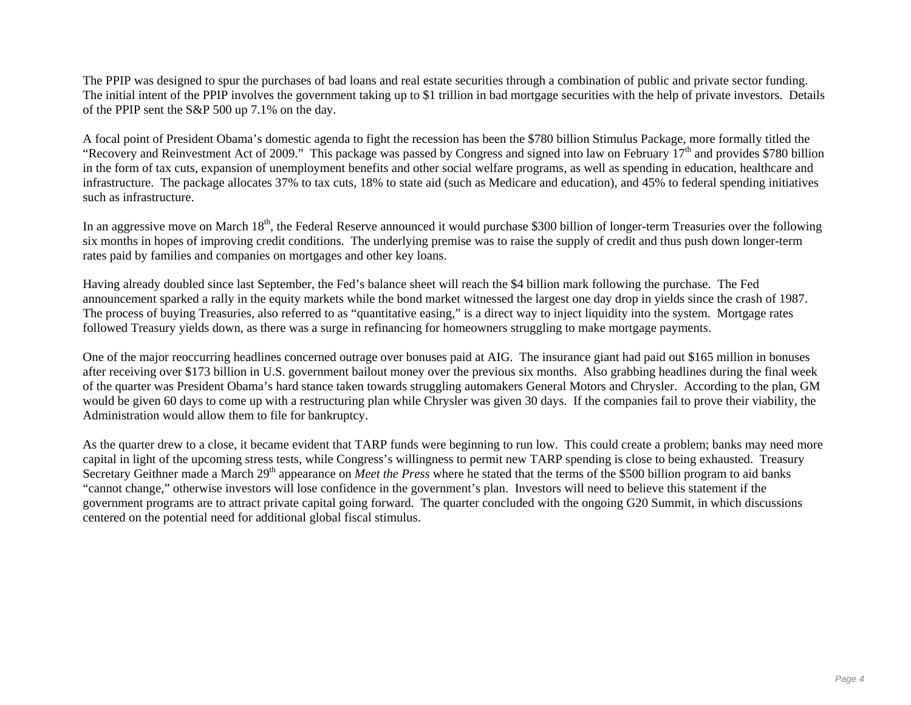The PPIP was designed to spur the purchases of bad loans and real estate securities through a combination of public and private sector funding. The initial intent of the PPIP involves the government taking up to \$1 trillion in bad mortgage securities with the help of private investors. Details of the PPIP sent the S&P 500 up 7.1% on the day.

A focal point of President Obama's domestic agenda to fight the recession has been the \$780 billion Stimulus Package, more formally titled the "Recovery and Reinvestment Act of 2009." This package was passed by Congress and signed into law on February 17<sup>th</sup> and provides \$780 billion in the form of tax cuts, expansion of unemployment benefits and other social welfare programs, as well as spending in education, healthcare and infrastructure. The package allocates 37% to tax cuts, 18% to state aid (such as Medicare and education), and 45% to federal spending initiatives such as infrastructure.

In an aggressive move on March 18<sup>th</sup>, the Federal Reserve announced it would purchase \$300 billion of longer-term Treasuries over the following six months in hopes of improving credit conditions. The underlying premise was to raise the supply of credit and thus push down longer-term rates paid by families and companies on mortgages and other key loans.

Having already doubled since last September, the Fed's balance sheet will reach the \$4 billion mark following the purchase. The Fed announcement sparked a rally in the equity markets while the bond market witnessed the largest one day drop in yields since the crash of 1987. The process of buying Treasuries, also referred to as "quantitative easing," is a direct way to inject liquidity into the system. Mortgage rates followed Treasury yields down, as there was a surge in refinancing for homeowners struggling to make mortgage payments.

One of the major reoccurring headlines concerned outrage over bonuses paid at AIG. The insurance giant had paid out \$165 million in bonuses after receiving over \$173 billion in U.S. government bailout money over the previous six months. Also grabbing headlines during the final week of the quarter was President Obama's hard stance taken towards struggling automakers General Motors and Chrysler. According to the plan, GM would be given 60 days to come up with a restructuring plan while Chrysler was given 30 days. If the companies fail to prove their viability, the Administration would allow them to file for bankruptcy.

As the quarter drew to a close, it became evident that TARP funds were beginning to run low. This could create a problem; banks may need more capital in light of the upcoming stress tests, while Congress's willingness to permit new TARP spending is close to being exhausted. Treasury Secretary Geithner made a March 29<sup>th</sup> appearance on *Meet the Press* where he stated that the terms of the \$500 billion program to aid banks "cannot change," otherwise investors will lose confidence in the government's plan. Investors will need to believe this statement if the government programs are to attract private capital going forward. The quarter concluded with the ongoing G20 Summit, in which discussions centered on the potential need for additional global fiscal stimulus.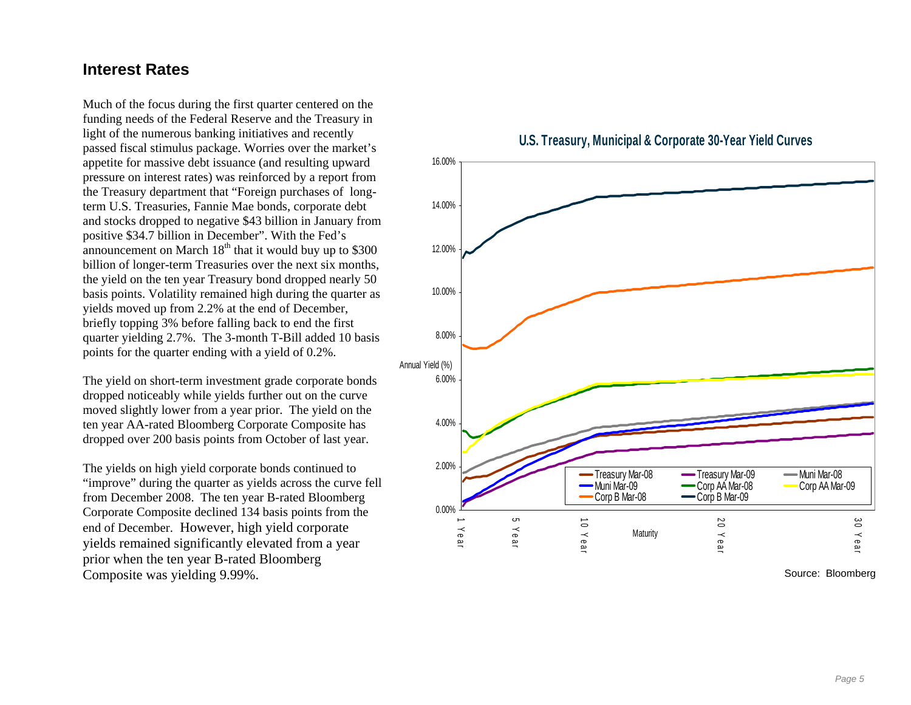### **Interest Rates**

funding needs of the Federal Reserve and the Treasury in - the Treasury department that "Foreign purchases of long and stocks dropped to negative \$43 billion in January from points for the quarter ending with a yield of 0.2%. Much of the focus during the first quarter centered on the light of the numerous banking initiatives and recently passed fiscal stimulus package. Worries over the market's appetite for massive debt issuance (and resulting upward pressure on interest rates) was reinforced by a report from term U.S. Treasuries, Fannie Mae bonds, corporate debt positive \$34.7 billion in December". With the Fed's announcement on March  $18<sup>th</sup>$  that it would buy up to \$300 billion of longer-term Treasuries over the next six months, the yield on the ten year Treasury bond dropped nearly 50 basis points. Volatility remained high during the quarter as yields moved up from 2.2% at the end of December, briefly topping 3% before falling back to end the first quarter yielding 2.7%. The 3-month T-Bill added 10 basis

dropped over 200 basis points from October of last year. The yield on short-term investment grade corporate bonds dropped noticeably while yields further out on the curve moved slightly lower from a year prior. The yield on the ten year AA-rated Bloomberg Corporate Composite has

"improve" during the quarter as yields across the curve fell Corporate Composite declined 134 basis points from the The yields on high yield corporate bonds continued to from December 2008. The ten year B-rated Bloomberg end of December. However, high yield corporate yields remained significantly elevated from a year prior when the ten year B-rated Bloomberg Composite was yielding 9.99%.

0.00%2.00%4.00%6.00%8.00%10.00%12.00%14.00%16.00%1 Year 5 Year 10 Year 20 Year 30 Yea r — Treasury Mar-08 — Treasury Mar-09 — Muni Mar-08<br>— Muni Mar-09 — Corp AA Mar-08 Corp AA Mar-09 Muni Mar-09Muni Mar-09 **Corp AA Mar-08**<br>Corp B Mar-08 **Corp B Mar-09 Maturity** Annual Yield (%)



Source: Bloomberg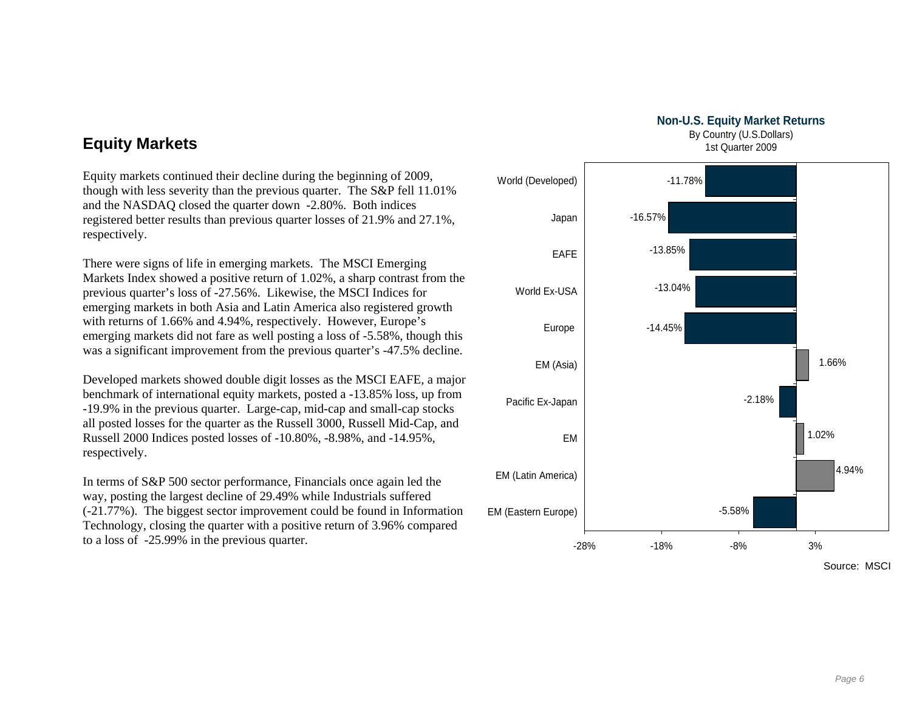**Non-U.S. Equity Market Returns** By Country (U.S.Dollars)

1st Quarter 2009



# **Equity Markets**

Equity markets continued their decline during the beginning of 2009,<br>though with less severity than the previous quarter. The S&P fell 11.01% registered better results than previous quarter losses of 21.9% and 27.1%, respectively. and the NASDAQ closed the quarter down -2.80%. Both indices

Markets Index showed a positive return of 1.02%, a sharp contrast from the emerging markets in both Asia and Latin America also registered growth was a significant improvement from the previous quarter's -47.5% decline. There were signs of life in emerging markets. The MSCI Emerging previous quarter's loss of -27.56%. Likewise, the MSCI Indices for with returns of 1.66% and 4.94%, respectively. However, Europe's emerging markets did not fare as well posting a loss of -5.58%, though this

all posted losses for the quarter as the Russell 3000, Russell Mid-Cap, and Russell 2000 Indices posted losses of -10.80%, -8.98%, and -14.95%, Developed markets showed double digit losses as the MSCI EAFE, a major benchmark of international equity markets, posted a -13.85% loss, up from -19.9% in the previous quarter. Large-cap, mid-cap and small-cap stocks respectively.

Technology, closing the quarter with a positive return of 3.96% compared In terms of S&P 500 sector performance, Financials once again led the way, posting the largest decline of 29.49% while Industrials suffered (-21.77%). The biggest sector improvement could be found in Information to a loss of -25.99% in the previous quarter.